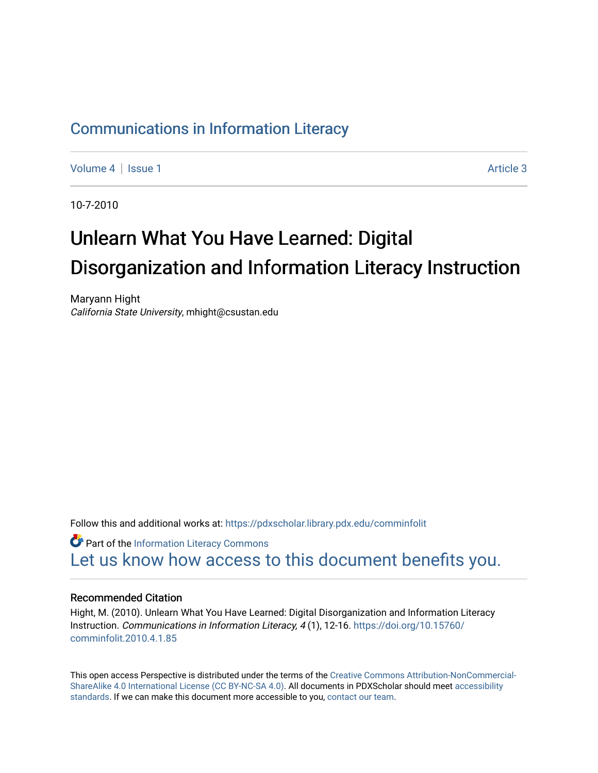# [Communications in Information Literacy](https://pdxscholar.library.pdx.edu/comminfolit)

[Volume 4](https://pdxscholar.library.pdx.edu/comminfolit/vol4) | [Issue 1](https://pdxscholar.library.pdx.edu/comminfolit/vol4/iss1) Article 3

10-7-2010

# Unlearn What You Have Learned: Digital Disorganization and Information Literacy Instruction

Maryann Hight California State University, mhight@csustan.edu

Follow this and additional works at: [https://pdxscholar.library.pdx.edu/comminfolit](https://pdxscholar.library.pdx.edu/comminfolit?utm_source=pdxscholar.library.pdx.edu%2Fcomminfolit%2Fvol4%2Fiss1%2F3&utm_medium=PDF&utm_campaign=PDFCoverPages) 

**Part of the [Information Literacy Commons](http://network.bepress.com/hgg/discipline/1243?utm_source=pdxscholar.library.pdx.edu%2Fcomminfolit%2Fvol4%2Fiss1%2F3&utm_medium=PDF&utm_campaign=PDFCoverPages)** [Let us know how access to this document benefits you.](http://library.pdx.edu/services/pdxscholar-services/pdxscholar-feedback/) 

#### Recommended Citation

Hight, M. (2010). Unlearn What You Have Learned: Digital Disorganization and Information Literacy Instruction. Communications in Information Literacy, 4 (1), 12-16. [https://doi.org/10.15760/](https://doi.org/10.15760/comminfolit.2010.4.1.85) [comminfolit.2010.4.1.85](https://doi.org/10.15760/comminfolit.2010.4.1.85)

This open access Perspective is distributed under the terms of the [Creative Commons Attribution-NonCommercial-](https://creativecommons.org/licenses/by-nc-sa/4.0/)[ShareAlike 4.0 International License \(CC BY-NC-SA 4.0\).](https://creativecommons.org/licenses/by-nc-sa/4.0/) All documents in PDXScholar should meet [accessibility](https://pdxscholar.library.pdx.edu/accessibility.html) [standards](https://pdxscholar.library.pdx.edu/accessibility.html). If we can make this document more accessible to you, [contact our team.](mailto:pdxscholar@pdx.edu)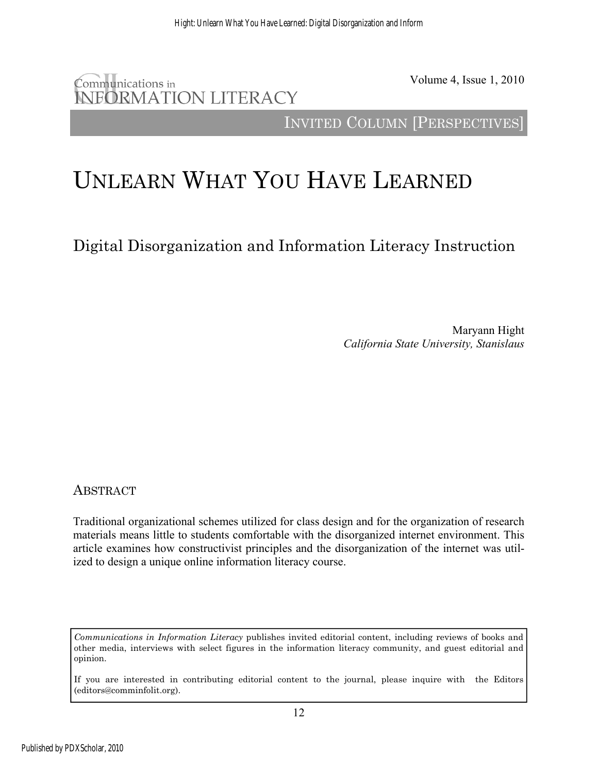# Communications in **INFORMATION LITERACY**

Volume 4, Issue 1, 2010

INVITED COLUMN [PERSPECTIVES]

# UNLEARN WHAT YOU HAVE LEARNED

Digital Disorganization and Information Literacy Instruction

Maryann Hight *California State University, Stanislaus* 

ABSTRACT

Traditional organizational schemes utilized for class design and for the organization of research materials means little to students comfortable with the disorganized internet environment. This article examines how constructivist principles and the disorganization of the internet was utilized to design a unique online information literacy course.

*Communications in Information Literacy* publishes invited editorial content, including reviews of books and other media, interviews with select figures in the information literacy community, and guest editorial and opinion.

If you are interested in contributing editorial content to the journal, please inquire with the Editors (editors@comminfolit.org).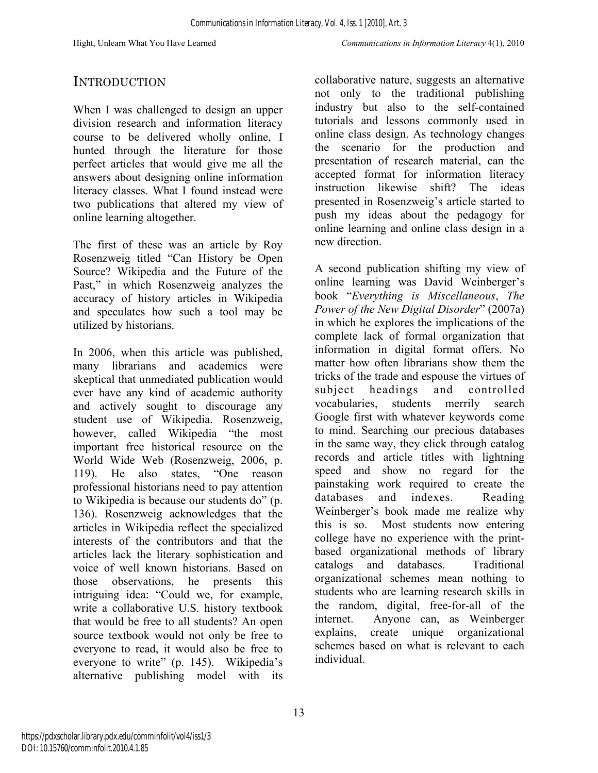### **INTRODUCTION**

When I was challenged to design an upper division research and information literacy course to be delivered wholly online, I hunted through the literature for those perfect articles that would give me all the answers about designing online information literacy classes. What I found instead were two publications that altered my view of online learning altogether.

The first of these was an article by Roy Rosenzweig titled "Can History be Open Source? Wikipedia and the Future of the Past," in which Rosenzweig analyzes the accuracy of history articles in Wikipedia and speculates how such a tool may be utilized by historians.

In 2006, when this article was published, many librarians and academics were skeptical that unmediated publication would ever have any kind of academic authority and actively sought to discourage any student use of Wikipedia. Rosenzweig, however, called Wikipedia "the most important free historical resource on the World Wide Web (Rosenzweig, 2006, p. 119). He also states, "One reason professional historians need to pay attention to Wikipedia is because our students do" (p. 136). Rosenzweig acknowledges that the articles in Wikipedia reflect the specialized interests of the contributors and that the articles lack the literary sophistication and voice of well known historians. Based on those observations, he presents this intriguing idea: "Could we, for example, write a collaborative U.S. history textbook that would be free to all students? An open source textbook would not only be free to everyone to read, it would also be free to everyone to write" (p. 145). Wikipedia's alternative publishing model with its

collaborative nature, suggests an alternative not only to the traditional publishing industry but also to the self-contained tutorials and lessons commonly used in online class design. As technology changes the scenario for the production and presentation of research material, can the accepted format for information literacy instruction likewise shift? The ideas presented in Rosenzweig's article started to push my ideas about the pedagogy for online learning and online class design in a new direction.

A second publication shifting my view of online learning was David Weinberger's book "*Everything is Miscellaneous*, *The Power of the New Digital Disorder*" (2007a) in which he explores the implications of the complete lack of formal organization that information in digital format offers. No matter how often librarians show them the tricks of the trade and espouse the virtues of subject headings and controlled vocabularies, students merrily search Google first with whatever keywords come to mind. Searching our precious databases in the same way, they click through catalog records and article titles with lightning speed and show no regard for the painstaking work required to create the databases and indexes. Reading Weinberger's book made me realize why this is so. Most students now entering college have no experience with the printbased organizational methods of library catalogs and databases. Traditional organizational schemes mean nothing to students who are learning research skills in the random, digital, free-for-all of the internet. Anyone can, as Weinberger explains, create unique organizational schemes based on what is relevant to each individual.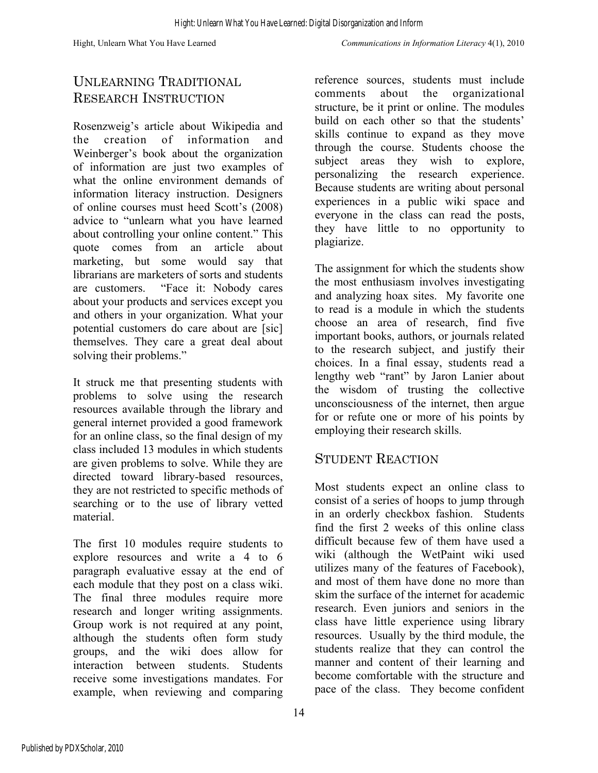# UNLEARNING TRADITIONAL RESEARCH INSTRUCTION

Rosenzweig's article about Wikipedia and the creation of information and Weinberger's book about the organization of information are just two examples of what the online environment demands of information literacy instruction. Designers of online courses must heed Scott's (2008) advice to "unlearn what you have learned about controlling your online content." This quote comes from an article about marketing, but some would say that librarians are marketers of sorts and students are customers. "Face it: Nobody cares about your products and services except you and others in your organization. What your potential customers do care about are [sic] themselves. They care a great deal about solving their problems."

It struck me that presenting students with problems to solve using the research resources available through the library and general internet provided a good framework for an online class, so the final design of my class included 13 modules in which students are given problems to solve. While they are directed toward library-based resources, they are not restricted to specific methods of searching or to the use of library vetted material.

The first 10 modules require students to explore resources and write a 4 to 6 paragraph evaluative essay at the end of each module that they post on a class wiki. The final three modules require more research and longer writing assignments. Group work is not required at any point, although the students often form study groups, and the wiki does allow for interaction between students. Students receive some investigations mandates. For example, when reviewing and comparing

reference sources, students must include comments about the organizational structure, be it print or online. The modules build on each other so that the students' skills continue to expand as they move through the course. Students choose the subject areas they wish to explore, personalizing the research experience. Because students are writing about personal experiences in a public wiki space and everyone in the class can read the posts, they have little to no opportunity to plagiarize.

The assignment for which the students show the most enthusiasm involves investigating and analyzing hoax sites. My favorite one to read is a module in which the students choose an area of research, find five important books, authors, or journals related to the research subject, and justify their choices. In a final essay, students read a lengthy web "rant" by Jaron Lanier about the wisdom of trusting the collective unconsciousness of the internet, then argue for or refute one or more of his points by employing their research skills.

### STUDENT REACTION

Most students expect an online class to consist of a series of hoops to jump through in an orderly checkbox fashion. Students find the first 2 weeks of this online class difficult because few of them have used a wiki (although the WetPaint wiki used utilizes many of the features of Facebook), and most of them have done no more than skim the surface of the internet for academic research. Even juniors and seniors in the class have little experience using library resources. Usually by the third module, the students realize that they can control the manner and content of their learning and become comfortable with the structure and pace of the class. They become confident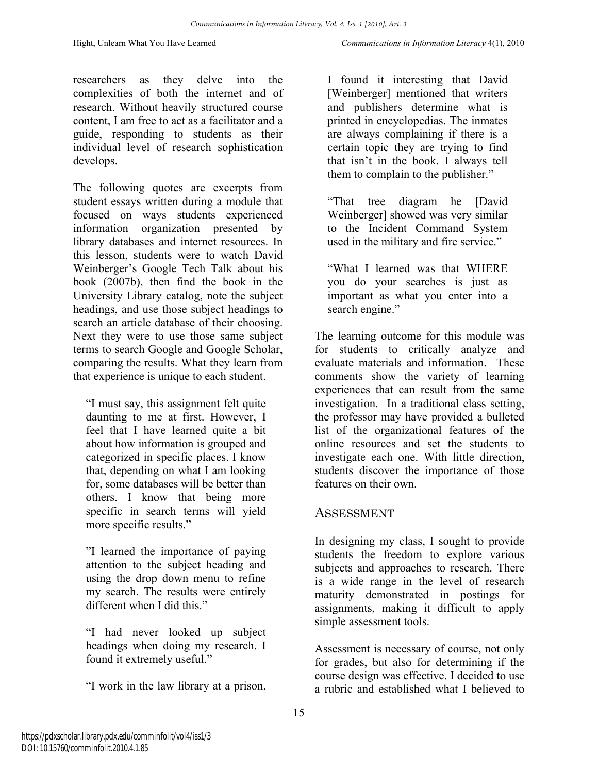researchers as they delve into the complexities of both the internet and of research. Without heavily structured course content, I am free to act as a facilitator and a guide, responding to students as their individual level of research sophistication develops.

The following quotes are excerpts from student essays written during a module that focused on ways students experienced information organization presented by library databases and internet resources. In this lesson, students were to watch David Weinberger's Google Tech Talk about his book (2007b), then find the book in the University Library catalog, note the subject headings, and use those subject headings to search an article database of their choosing. Next they were to use those same subject terms to search Google and Google Scholar, comparing the results. What they learn from that experience is unique to each student.

"I must say, this assignment felt quite daunting to me at first. However, I feel that I have learned quite a bit about how information is grouped and categorized in specific places. I know that, depending on what I am looking for, some databases will be better than others. I know that being more specific in search terms will yield more specific results."

"I learned the importance of paying attention to the subject heading and using the drop down menu to refine my search. The results were entirely different when I did this."

"I had never looked up subject headings when doing my research. I found it extremely useful."

"I work in the law library at a prison.

I found it interesting that David [Weinberger] mentioned that writers and publishers determine what is printed in encyclopedias. The inmates are always complaining if there is a certain topic they are trying to find that isn't in the book. I always tell them to complain to the publisher."

"That tree diagram he [David Weinberger] showed was very similar to the Incident Command System used in the military and fire service."

"What I learned was that WHERE you do your searches is just as important as what you enter into a search engine."

The learning outcome for this module was for students to critically analyze and evaluate materials and information. These comments show the variety of learning experiences that can result from the same investigation. In a traditional class setting, the professor may have provided a bulleted list of the organizational features of the online resources and set the students to investigate each one. With little direction, students discover the importance of those features on their own.

#### **ASSESSMENT**

In designing my class, I sought to provide students the freedom to explore various subjects and approaches to research. There is a wide range in the level of research maturity demonstrated in postings for assignments, making it difficult to apply simple assessment tools.

Assessment is necessary of course, not only for grades, but also for determining if the course design was effective. I decided to use a rubric and established what I believed to